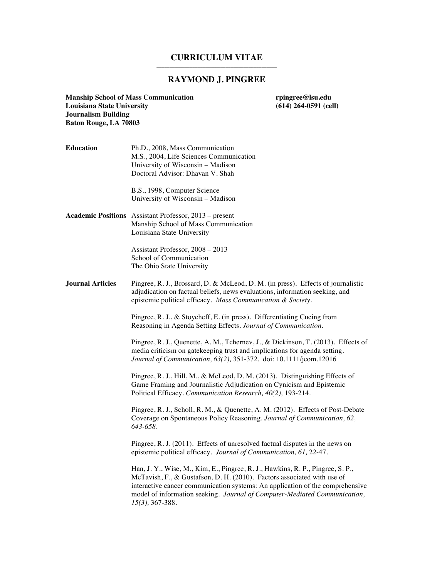## **CURRICULUM VITAE \_\_\_\_\_\_\_\_\_\_\_\_\_\_\_\_\_\_\_\_\_\_\_\_\_\_\_\_\_\_\_\_\_\_\_\_\_\_\_\_\_\_\_\_\_\_\_**

## **RAYMOND J. PINGREE**

**Manship School of Mass Communication rpingree@lsu.edu Louisiana State University (614) 264-0591 (cell) Journalism Building Baton Rouge, LA 70803**

**Education** Ph.D., 2008, Mass Communication M.S., 2004, Life Sciences Communication University of Wisconsin – Madison Doctoral Advisor: Dhavan V. Shah

> B.S., 1998, Computer Science University of Wisconsin – Madison

**Academic Positions** Assistant Professor, 2013 – present Manship School of Mass Communication Louisiana State University

> Assistant Professor, 2008 – 2013 School of Communication The Ohio State University

**Journal Articles** Pingree, R. J., Brossard, D. & McLeod, D. M. (in press). Effects of journalistic adjudication on factual beliefs, news evaluations, information seeking, and epistemic political efficacy. *Mass Communication & Society*.

> Pingree, R. J., & Stoycheff, E. (in press). Differentiating Cueing from Reasoning in Agenda Setting Effects. *Journal of Communication*.

Pingree, R. J., Quenette, A. M., Tchernev, J., & Dickinson, T. (2013). Effects of media criticism on gatekeeping trust and implications for agenda setting. *Journal of Communication, 63(2),* 351-372. doi: 10.1111/jcom.12016

Pingree, R. J., Hill, M., & McLeod, D. M. (2013). Distinguishing Effects of Game Framing and Journalistic Adjudication on Cynicism and Epistemic Political Efficacy. *Communication Research, 40(2),* 193-214.

Pingree, R. J., Scholl, R. M., & Quenette, A. M. (2012). Effects of Post-Debate Coverage on Spontaneous Policy Reasoning. *Journal of Communication, 62, 643-658*.

Pingree, R. J. (2011). Effects of unresolved factual disputes in the news on epistemic political efficacy. *Journal of Communication, 61,* 22-47.

Han, J. Y., Wise, M., Kim, E., Pingree, R. J., Hawkins, R. P., Pingree, S. P., McTavish, F., & Gustafson, D. H. (2010). Factors associated with use of interactive cancer communication systems: An application of the comprehensive model of information seeking. *Journal of Computer-Mediated Communication, 15(3),* 367-388.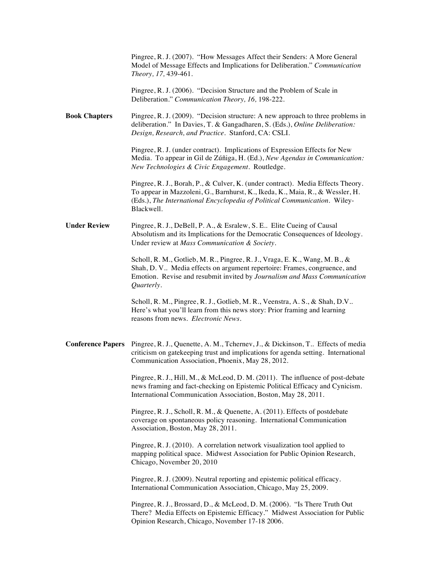|                          | Pingree, R. J. (2007). "How Messages Affect their Senders: A More General<br>Model of Message Effects and Implications for Deliberation." Communication<br>Theory, 17, 439-461.                                                                             |
|--------------------------|-------------------------------------------------------------------------------------------------------------------------------------------------------------------------------------------------------------------------------------------------------------|
|                          | Pingree, R. J. (2006). "Decision Structure and the Problem of Scale in<br>Deliberation." Communication Theory, 16, 198-222.                                                                                                                                 |
| <b>Book Chapters</b>     | Pingree, R. J. (2009). "Decision structure: A new approach to three problems in<br>deliberation." In Davies, T. & Gangadharen, S. (Eds.), Online Deliberation:<br>Design, Research, and Practice. Stanford, CA: CSLI.                                       |
|                          | Pingree, R. J. (under contract). Implications of Expression Effects for New<br>Media. To appear in Gil de Zúñiga, H. (Ed.), New Agendas in Communication:<br>New Technologies & Civic Engagement. Routledge.                                                |
|                          | Pingree, R. J., Borah, P., & Culver, K. (under contract). Media Effects Theory.<br>To appear in Mazzoleni, G., Barnhurst, K., Ikeda, K., Maia, R., & Wessler, H.<br>(Eds.), The International Encyclopedia of Political Communication. Wiley-<br>Blackwell. |
| <b>Under Review</b>      | Pingree, R. J., DeBell, P. A., & Esralew, S. E Elite Cueing of Causal<br>Absolutism and its Implications for the Democratic Consequences of Ideology.<br>Under review at Mass Communication & Society.                                                      |
|                          | Scholl, R. M., Gotlieb, M. R., Pingree, R. J., Vraga, E. K., Wang, M. B., &<br>Shah, D. V Media effects on argument repertoire: Frames, congruence, and<br>Emotion. Revise and resubmit invited by Journalism and Mass Communication<br>Quarterly.          |
|                          | Scholl, R. M., Pingree, R. J., Gotlieb, M. R., Veenstra, A. S., & Shah, D.V<br>Here's what you'll learn from this news story: Prior framing and learning<br>reasons from news. Electronic News.                                                             |
| <b>Conference Papers</b> | Pingree, R. J., Quenette, A. M., Tchernev, J., & Dickinson, T. Effects of media<br>criticism on gatekeeping trust and implications for agenda setting. International<br>Communication Association, Phoenix, May 28, 2012.                                   |
|                          | Pingree, R. J., Hill, M., & McLeod, D. M. (2011). The influence of post-debate<br>news framing and fact-checking on Epistemic Political Efficacy and Cynicism.<br>International Communication Association, Boston, May 28, 2011.                            |
|                          | Pingree, R. J., Scholl, R. M., & Quenette, A. (2011). Effects of postdebate<br>coverage on spontaneous policy reasoning. International Communication<br>Association, Boston, May 28, 2011.                                                                  |
|                          | Pingree, R. J. (2010). A correlation network visualization tool applied to<br>mapping political space. Midwest Association for Public Opinion Research,<br>Chicago, November 20, 2010                                                                       |
|                          | Pingree, R. J. (2009). Neutral reporting and epistemic political efficacy.<br>International Communication Association, Chicago, May 25, 2009.                                                                                                               |
|                          | Pingree, R. J., Brossard, D., & McLeod, D. M. (2006). "Is There Truth Out<br>There? Media Effects on Epistemic Efficacy." Midwest Association for Public<br>Opinion Research, Chicago, November 17-18 2006.                                                 |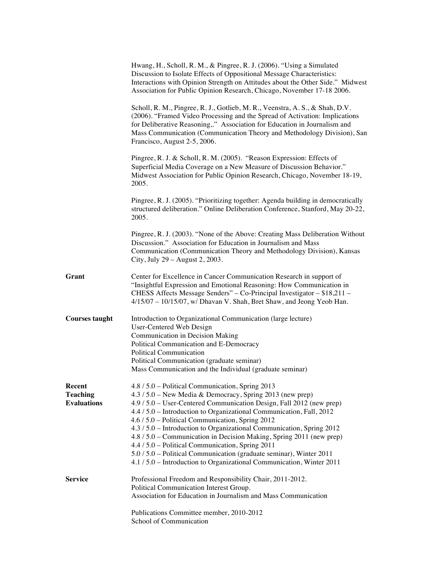|                                                 | Hwang, H., Scholl, R. M., & Pingree, R. J. (2006). "Using a Simulated<br>Discussion to Isolate Effects of Oppositional Message Characteristics:<br>Interactions with Opinion Strength on Attitudes about the Other Side." Midwest<br>Association for Public Opinion Research, Chicago, November 17-18 2006.                                                                                                                                                                                                                                                                                                                                                            |
|-------------------------------------------------|------------------------------------------------------------------------------------------------------------------------------------------------------------------------------------------------------------------------------------------------------------------------------------------------------------------------------------------------------------------------------------------------------------------------------------------------------------------------------------------------------------------------------------------------------------------------------------------------------------------------------------------------------------------------|
|                                                 | Scholl, R. M., Pingree, R. J., Gotlieb, M. R., Veenstra, A. S., & Shah, D.V.<br>(2006). "Framed Video Processing and the Spread of Activation: Implications<br>for Deliberative Reasoning,." Association for Education in Journalism and<br>Mass Communication (Communication Theory and Methodology Division), San<br>Francisco, August 2-5, 2006.                                                                                                                                                                                                                                                                                                                    |
|                                                 | Pingree, R. J. & Scholl, R. M. (2005). "Reason Expression: Effects of<br>Superficial Media Coverage on a New Measure of Discussion Behavior."<br>Midwest Association for Public Opinion Research, Chicago, November 18-19,<br>2005.                                                                                                                                                                                                                                                                                                                                                                                                                                    |
|                                                 | Pingree, R. J. (2005). "Prioritizing together: Agenda building in democratically<br>structured deliberation." Online Deliberation Conference, Stanford, May 20-22,<br>2005.                                                                                                                                                                                                                                                                                                                                                                                                                                                                                            |
|                                                 | Pingree, R. J. (2003). "None of the Above: Creating Mass Deliberation Without<br>Discussion." Association for Education in Journalism and Mass<br>Communication (Communication Theory and Methodology Division), Kansas<br>City, July 29 – August 2, 2003.                                                                                                                                                                                                                                                                                                                                                                                                             |
| Grant                                           | Center for Excellence in Cancer Communication Research in support of<br>"Insightful Expression and Emotional Reasoning: How Communication in<br>CHESS Affects Message Senders" - Co-Principal Investigator - \$18,211 -<br>4/15/07 - 10/15/07, w/ Dhavan V. Shah, Bret Shaw, and Jeong Yeob Han.                                                                                                                                                                                                                                                                                                                                                                       |
| <b>Courses taught</b>                           | Introduction to Organizational Communication (large lecture)<br><b>User-Centered Web Design</b><br>Communication in Decision Making<br>Political Communication and E-Democracy<br>Political Communication<br>Political Communication (graduate seminar)<br>Mass Communication and the Individual (graduate seminar)                                                                                                                                                                                                                                                                                                                                                    |
| Recent<br><b>Teaching</b><br><b>Evaluations</b> | 4.8 / 5.0 – Political Communication, Spring 2013<br>4.3 / 5.0 - New Media & Democracy, Spring 2013 (new prep)<br>4.9 / 5.0 – User-Centered Communication Design, Fall 2012 (new prep)<br>4.4 / 5.0 – Introduction to Organizational Communication, Fall, 2012<br>4.6 / 5.0 - Political Communication, Spring 2012<br>4.3 / 5.0 - Introduction to Organizational Communication, Spring 2012<br>4.8 / 5.0 – Communication in Decision Making, Spring 2011 (new prep)<br>4.4 / 5.0 - Political Communication, Spring 2011<br>5.0 / 5.0 - Political Communication (graduate seminar), Winter 2011<br>4.1 / 5.0 – Introduction to Organizational Communication, Winter 2011 |
| <b>Service</b>                                  | Professional Freedom and Responsibility Chair, 2011-2012.<br>Political Communication Interest Group.<br>Association for Education in Journalism and Mass Communication<br>Publications Committee member, 2010-2012                                                                                                                                                                                                                                                                                                                                                                                                                                                     |
|                                                 | School of Communication                                                                                                                                                                                                                                                                                                                                                                                                                                                                                                                                                                                                                                                |